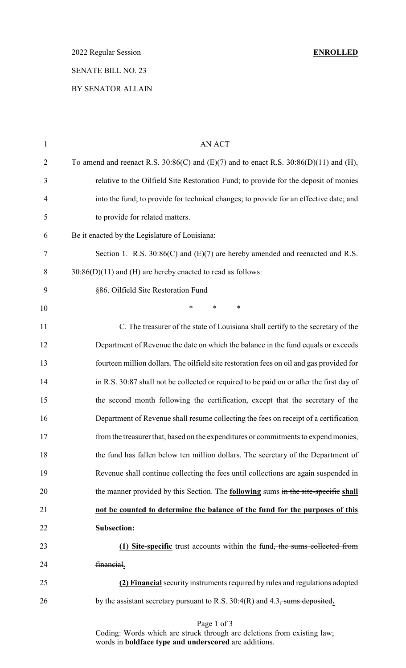2022 Regular Session **ENROLLED**

## SENATE BILL NO. 23

### BY SENATOR ALLAIN

| $\mathbf{1}$   | <b>AN ACT</b>                                                                                  |
|----------------|------------------------------------------------------------------------------------------------|
| $\overline{2}$ | To amend and reenact R.S. $30:86(C)$ and $(E)(7)$ and to enact R.S. $30:86(D)(11)$ and $(H)$ , |
| 3              | relative to the Oilfield Site Restoration Fund; to provide for the deposit of monies           |
| $\overline{4}$ | into the fund; to provide for technical changes; to provide for an effective date; and         |
| 5              | to provide for related matters.                                                                |
| 6              | Be it enacted by the Legislature of Louisiana:                                                 |
| 7              | Section 1. R.S. $30:86(C)$ and $(E)(7)$ are hereby amended and reenacted and R.S.              |
| 8              | $30:86(D)(11)$ and (H) are hereby enacted to read as follows:                                  |
| 9              | §86. Oilfield Site Restoration Fund                                                            |
| 10             | $\ast$<br>*<br>$\ast$                                                                          |
| 11             | C. The treasurer of the state of Louisiana shall certify to the secretary of the               |
| 12             | Department of Revenue the date on which the balance in the fund equals or exceeds              |
| 13             | fourteen million dollars. The oilfield site restoration fees on oil and gas provided for       |
| 14             | in R.S. 30:87 shall not be collected or required to be paid on or after the first day of       |
| 15             | the second month following the certification, except that the secretary of the                 |
| 16             | Department of Revenue shall resume collecting the fees on receipt of a certification           |
| 17             | from the treasurer that, based on the expenditures or commitments to expend monies,            |
| 18             | the fund has fallen below ten million dollars. The secretary of the Department of              |
| 19             | Revenue shall continue collecting the fees until collections are again suspended in            |
| 20             | the manner provided by this Section. The <b>following</b> sums in the site-specific shall      |
| 21             | not be counted to determine the balance of the fund for the purposes of this                   |
| 22             | <b>Subsection:</b>                                                                             |
| 23             | (1) Site-specific trust accounts within the fund <del>, the sums collected from</del>          |
| 24             | financial.                                                                                     |
| 25             | (2) Financial security instruments required by rules and regulations adopted                   |
| 26             | by the assistant secretary pursuant to R.S. 30:4(R) and 4.3, sums deposited.                   |

Coding: Words which are struck through are deletions from existing law; words in **boldface type and underscored** are additions.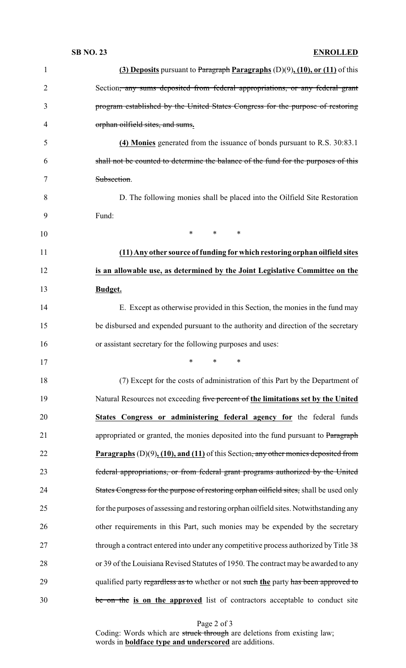### **SB NO. 23 ENROLLED**

| $\mathbf{1}$   | (3) Deposits pursuant to Paragraph Paragraphs $(D)(9)$ , $(10)$ , or $(11)$ of this               |
|----------------|---------------------------------------------------------------------------------------------------|
| $\overline{2}$ | Section <del>, any sums deposited from federal appropriations, or any federal grant</del>         |
| 3              | program established by the United States Congress for the purpose of restoring                    |
| 4              | orphan oilfield sites, and sums.                                                                  |
| 5              | (4) Monies generated from the issuance of bonds pursuant to R.S. 30:83.1                          |
| 6              | shall not be counted to determine the balance of the fund for the purposes of this                |
| 7              | Subsection.                                                                                       |
| 8              | D. The following monies shall be placed into the Oilfield Site Restoration                        |
| 9              | Fund:                                                                                             |
| 10             | $\ast$<br>$\ast$<br>∗                                                                             |
| 11             | (11) Any other source of funding for which restoring orphan oilfield sites                        |
| 12             | is an allowable use, as determined by the Joint Legislative Committee on the                      |
| 13             | Budget.                                                                                           |
| 14             | E. Except as otherwise provided in this Section, the monies in the fund may                       |
| 15             | be disbursed and expended pursuant to the authority and direction of the secretary                |
| 16             | or assistant secretary for the following purposes and uses:                                       |
| 17             | $*$ and $*$<br>$*$ and $*$<br>∗                                                                   |
| 18             | (7) Except for the costs of administration of this Part by the Department of                      |
| 19             | Natural Resources not exceeding five percent of the limitations set by the United                 |
| 20             | States Congress or administering federal agency for the federal funds                             |
| 21             | appropriated or granted, the monies deposited into the fund pursuant to Paragraph                 |
| 22             | <b>Paragraphs</b> $(D)(9)$ , $(10)$ , and $(11)$ of this Section, any other monics deposited from |
| 23             | federal appropriations, or from federal grant programs authorized by the United                   |
| 24             | States Congress for the purpose of restoring orphan oilfield sites, shall be used only            |
| 25             | for the purposes of assessing and restoring orphan oilfield sites. Notwithstanding any            |
| 26             | other requirements in this Part, such monies may be expended by the secretary                     |
| 27             | through a contract entered into under any competitive process authorized by Title 38              |
| 28             | or 39 of the Louisiana Revised Statutes of 1950. The contract may be awarded to any               |
| 29             | qualified party regardless as to whether or not such the party has been approved to               |
| 30             | be on the is on the approved list of contractors acceptable to conduct site                       |

Page 2 of 3

Coding: Words which are struck through are deletions from existing law; words in **boldface type and underscored** are additions.